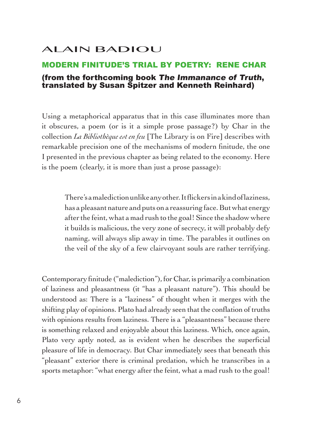## ALAIN BADIOU

## MODERN FINITUDE'S TRIAL BY POETRY: RENE CHAR (from the forthcoming book The Immanance of Truth, translated by Susan Spitzer and Kenneth Reinhard)

Using a metaphorical apparatus that in this case illuminates more than it obscures, a poem (or is it a simple prose passage?) by Char in the collection *La Bibliothèque est en feu* [The Library is on Fire] describes with remarkable precision one of the mechanisms of modern finitude, the one I presented in the previous chapter as being related to the economy. Here is the poem (clearly, it is more than just a prose passage):

There's a malediction unlike any other. It flickers in a kind of laziness, has a pleasant nature and puts on a reassuring face. But what energy after the feint, what a mad rush to the goal! Since the shadow where it builds is malicious, the very zone of secrecy, it will probably defy naming, will always slip away in time. The parables it outlines on the veil of the sky of a few clairvoyant souls are rather terrifying.

Contemporary finitude ("malediction"), for Char, is primarily a combination of laziness and pleasantness (it "has a pleasant nature"). This should be understood as: There is a "laziness" of thought when it merges with the shifting play of opinions. Plato had already seen that the conflation of truths with opinions results from laziness. There is a "pleasantness" because there is something relaxed and enjoyable about this laziness. Which, once again, Plato very aptly noted, as is evident when he describes the superficial pleasure of life in democracy. But Char immediately sees that beneath this "pleasant" exterior there is criminal predation, which he transcribes in a sports metaphor: "what energy after the feint, what a mad rush to the goal!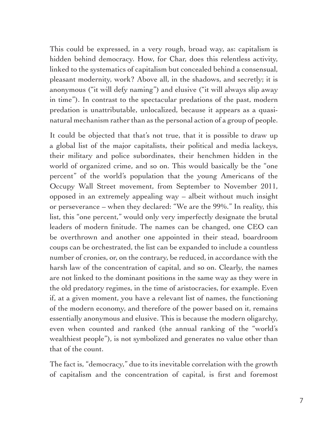This could be expressed, in a very rough, broad way, as: capitalism is hidden behind democracy. How, for Char, does this relentless activity, linked to the systematics of capitalism but concealed behind a consensual, pleasant modernity, work? Above all, in the shadows, and secretly; it is anonymous ("it will defy naming") and elusive ("it will always slip away in time"). In contrast to the spectacular predations of the past, modern predation is unattributable, unlocalized, because it appears as a quasinatural mechanism rather than as the personal action of a group of people.

It could be objected that that's not true, that it is possible to draw up a global list of the major capitalists, their political and media lackeys, their military and police subordinates, their henchmen hidden in the world of organized crime, and so on. This would basically be the "one percent" of the world's population that the young Americans of the Occupy Wall Street movement, from September to November 2011, opposed in an extremely appealing way – albeit without much insight or perseverance – when they declared: "We are the 99%." In reality, this list, this "one percent," would only very imperfectly designate the brutal leaders of modern finitude. The names can be changed, one CEO can be overthrown and another one appointed in their stead, boardroom coups can be orchestrated, the list can be expanded to include a countless number of cronies, or, on the contrary, be reduced, in accordance with the harsh law of the concentration of capital, and so on. Clearly, the names are not linked to the dominant positions in the same way as they were in the old predatory regimes, in the time of aristocracies, for example. Even if, at a given moment, you have a relevant list of names, the functioning of the modern economy, and therefore of the power based on it, remains essentially anonymous and elusive. This is because the modern oligarchy, even when counted and ranked (the annual ranking of the "world's wealthiest people"), is not symbolized and generates no value other than that of the count.

The fact is, "democracy," due to its inevitable correlation with the growth of capitalism and the concentration of capital, is first and foremost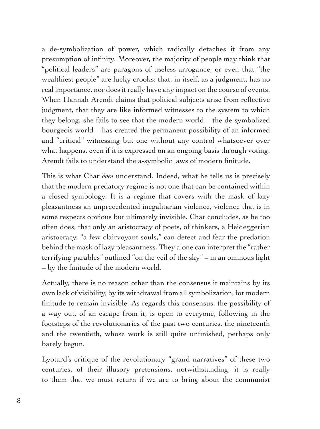a de-symbolization of power, which radically detaches it from any presumption of infinity. Moreover, the majority of people may think that "political leaders" are paragons of useless arrogance, or even that "the wealthiest people" are lucky crooks: that, in itself, as a judgment, has no real importance, nor does it really have any impact on the course of events. When Hannah Arendt claims that political subjects arise from reflective judgment, that they are like informed witnesses to the system to which they belong, she fails to see that the modern world – the de-symbolized bourgeois world – has created the permanent possibility of an informed and "critical" witnessing but one without any control whatsoever over what happens, even if it is expressed on an ongoing basis through voting. Arendt fails to understand the a-symbolic laws of modern finitude.

This is what Char *does* understand. Indeed, what he tells us is precisely that the modern predatory regime is not one that can be contained within a closed symbology. It is a regime that covers with the mask of lazy pleasantness an unprecedented inegalitarian violence, violence that is in some respects obvious but ultimately invisible. Char concludes, as he too often does, that only an aristocracy of poets, of thinkers, a Heideggerian aristocracy, "a few clairvoyant souls," can detect and fear the predation behind the mask of lazy pleasantness. They alone can interpret the "rather terrifying parables" outlined "on the veil of the sky" – in an ominous light – by the finitude of the modern world.

Actually, there is no reason other than the consensus it maintains by its own lack of visibility, by its withdrawal from all symbolization, for modern finitude to remain invisible. As regards this consensus, the possibility of a way out, of an escape from it, is open to everyone, following in the footsteps of the revolutionaries of the past two centuries, the nineteenth and the twentieth, whose work is still quite unfinished, perhaps only barely begun.

Lyotard's critique of the revolutionary "grand narratives" of these two centuries, of their illusory pretensions, notwithstanding, it is really to them that we must return if we are to bring about the communist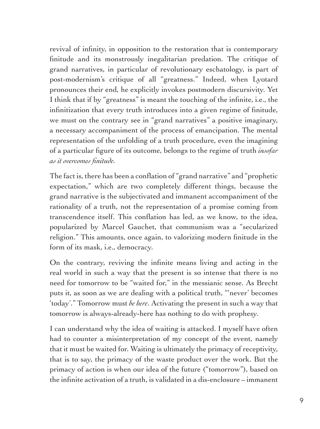revival of infinity, in opposition to the restoration that is contemporary finitude and its monstrously inegalitarian predation. The critique of grand narratives, in particular of revolutionary eschatology, is part of post-modernism's critique of all "greatness." Indeed, when Lyotard pronounces their end, he explicitly invokes postmodern discursivity. Yet I think that if by "greatness" is meant the touching of the infinite, i.e., the infinitization that every truth introduces into a given regime of finitude, we must on the contrary see in "grand narratives" a positive imaginary, a necessary accompaniment of the process of emancipation. The mental representation of the unfolding of a truth procedure, even the imagining of a particular figure of its outcome, belongs to the regime of truth *insofar as it overcomes finitude.*

The fact is, there has been a conflation of "grand narrative" and "prophetic expectation," which are two completely different things, because the grand narrative is the subjectivated and immanent accompaniment of the rationality of a truth, not the representation of a promise coming from transcendence itself. This conflation has led, as we know, to the idea, popularized by Marcel Gauchet, that communism was a "secularized religion." This amounts, once again, to valorizing modern finitude in the form of its mask, i.e., democracy.

On the contrary, reviving the infinite means living and acting in the real world in such a way that the present is so intense that there is no need for tomorrow to be "waited for," in the messianic sense. As Brecht puts it, as soon as we are dealing with a political truth, "'never' becomes 'today'." Tomorrow must *be here*. Activating the present in such a way that tomorrow is always-already-here has nothing to do with prophesy.

I can understand why the idea of waiting is attacked. I myself have often had to counter a misinterpretation of my concept of the event, namely that it must be waited for. Waiting is ultimately the primacy of receptivity, that is to say, the primacy of the waste product over the work. But the primacy of action is when our idea of the future ("tomorrow"), based on the infinite activation of a truth, is validated in a dis-enclosure – immanent